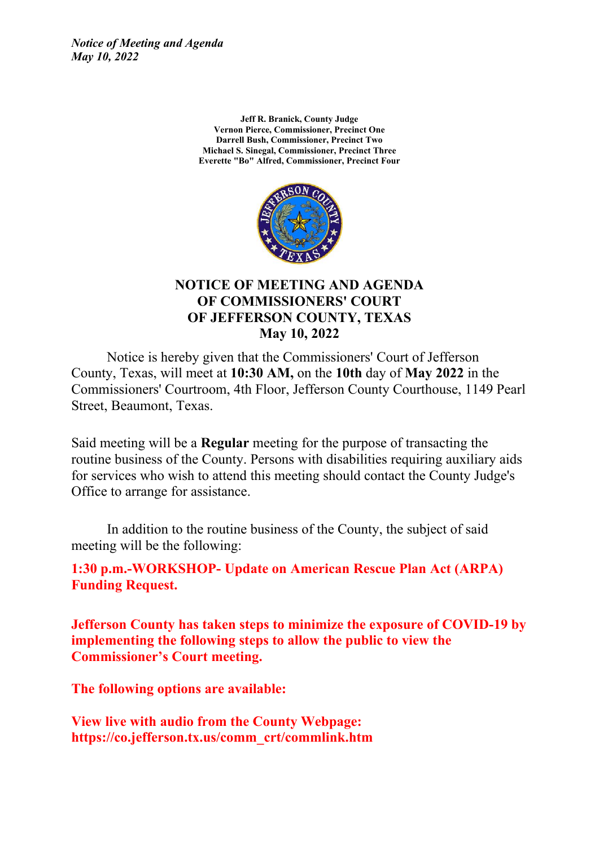*Notice of Meeting and Agenda May 10, 2022*

> **Jeff R. Branick, County Judge Vernon Pierce, Commissioner, Precinct One Darrell Bush, Commissioner, Precinct Two Michael S. Sinegal, Commissioner, Precinct Three Everette "Bo" Alfred, Commissioner, Precinct Four**



#### **NOTICE OF MEETING AND AGENDA OF COMMISSIONERS' COURT OF JEFFERSON COUNTY, TEXAS May 10, 2022**

Notice is hereby given that the Commissioners' Court of Jefferson County, Texas, will meet at **10:30 AM,** on the **10th** day of **May 2022** in the Commissioners' Courtroom, 4th Floor, Jefferson County Courthouse, 1149 Pearl Street, Beaumont, Texas.

Said meeting will be a **Regular** meeting for the purpose of transacting the routine business of the County. Persons with disabilities requiring auxiliary aids for services who wish to attend this meeting should contact the County Judge's Office to arrange for assistance.

In addition to the routine business of the County, the subject of said meeting will be the following:

**1:30 p.m.-WORKSHOP- Update on American Rescue Plan Act (ARPA) Funding Request.**

**Jefferson County has taken steps to minimize the exposure of COVID-19 by implementing the following steps to allow the public to view the Commissioner's Court meeting.**

**The following options are available:**

**View live with audio from the County Webpage: https://co.jefferson.tx.us/comm\_crt/commlink.htm**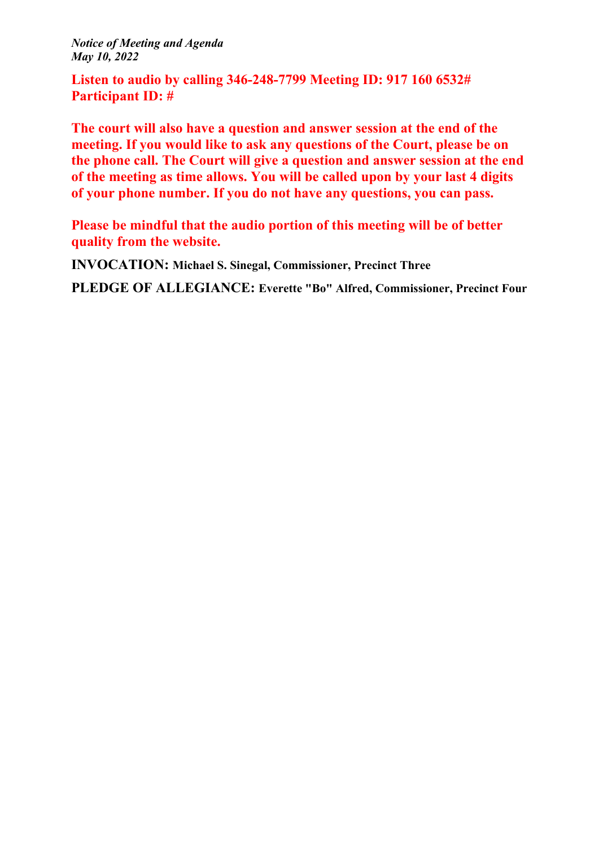*Notice of Meeting and Agenda May 10, 2022*

**Listen to audio by calling 346-248-7799 Meeting ID: 917 160 6532# Participant ID: #**

**The court will also have a question and answer session at the end of the meeting. If you would like to ask any questions of the Court, please be on the phone call. The Court will give a question and answer session at the end of the meeting as time allows. You will be called upon by your last 4 digits of your phone number. If you do not have any questions, you can pass.**

**Please be mindful that the audio portion of this meeting will be of better quality from the website.**

**INVOCATION: Michael S. Sinegal, Commissioner, Precinct Three**

**PLEDGE OF ALLEGIANCE: Everette "Bo" Alfred, Commissioner, Precinct Four**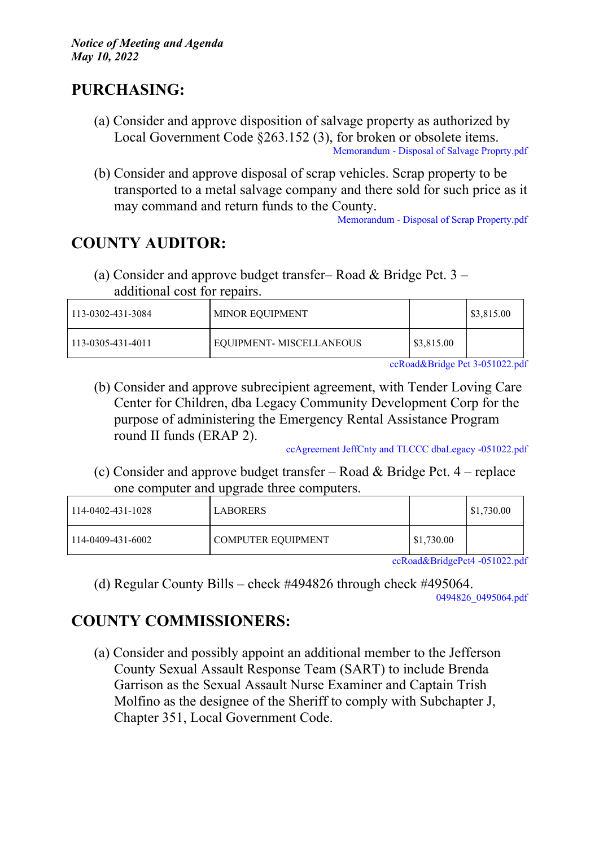### **PURCHASING:**

- (a) Consider and approve disposition of salvage property as authorized by Local Government Code §263.152 (3), for broken or obsolete items. [Memorandum](http://co.jefferson.tx.us/agenda/agendas_pl/20220510_691/Attachments/Memorandum%20-%20Disposal%20of%20Salvage%20Proprty.pdf) - Disposal of Salvage Proprty.pdf
- (b) Consider and approve disposal of scrap vehicles. Scrap property to be transported to a metal salvage company and there sold for such price as it may command and return funds to the County.

[Memorandum](http://co.jefferson.tx.us/agenda/agendas_pl/20220510_691/Attachments/Memorandum%20-%20Disposal%20of%20Scrap%20Property.pdf) - Disposal of Scrap Property.pdf

## **COUNTY AUDITOR:**

(a) Consider and approve budget transfer– Road & Bridge Pct. 3 – additional cost for repairs.

| 113-0302-431-3084 | <b>MINOR EQUIPMENT</b>   |                       | $\frac{$3,815.00}{ }$ |
|-------------------|--------------------------|-----------------------|-----------------------|
| 113-0305-431-4011 | EQUIPMENT- MISCELLANEOUS | $\frac{$3,815.00}{ }$ |                       |

[ccRoad&Bridge](http://co.jefferson.tx.us/agenda/agendas_pl/20220510_691/Attachments/ccRoad%26Bridge%20Pct%203-051022.pdf) Pct 3-051022.pdf

(b) Consider and approve subrecipient agreement, with Tender Loving Care Center for Children, dba Legacy Community Development Corp for the purpose of administering the Emergency Rental Assistance Program round II funds (ERAP 2).

[ccAgreement](http://co.jefferson.tx.us/agenda/agendas_pl/20220510_691/Attachments/ccAgreement%20JeffCnty%20and%20TLCCC%20dbaLegacy%20-051022.pdf) JeffCnty and TLCCC dbaLegacy -051022.pdf

(c) Consider and approve budget transfer – Road & Bridge Pct. 4 – replace one computer and upgrade three computers.

| 114-0402-431-1028 | 'LABORERS          |            | $\mid$ \$1,730.00 |
|-------------------|--------------------|------------|-------------------|
| 114-0409-431-6002 | COMPUTER EQUIPMENT | \$1,730.00 |                   |

[ccRoad&BridgePct4](http://co.jefferson.tx.us/agenda/agendas_pl/20220510_691/Attachments/ccRoad%26BridgePct4%20-051022.pdf) -051022.pdf

(d) Regular County Bills – check #494826 through check #495064. [0494826\\_0495064.pdf](http://co.jefferson.tx.us/agenda/agendas_pl/20220510_691/Attachments/0494826_0495064.pdf)

# **COUNTY COMMISSIONERS:**

(a) Consider and possibly appoint an additional member to the Jefferson County Sexual Assault Response Team (SART) to include Brenda Garrison as the Sexual Assault Nurse Examiner and Captain Trish Molfino as the designee of the Sheriff to comply with Subchapter J, Chapter 351, Local Government Code.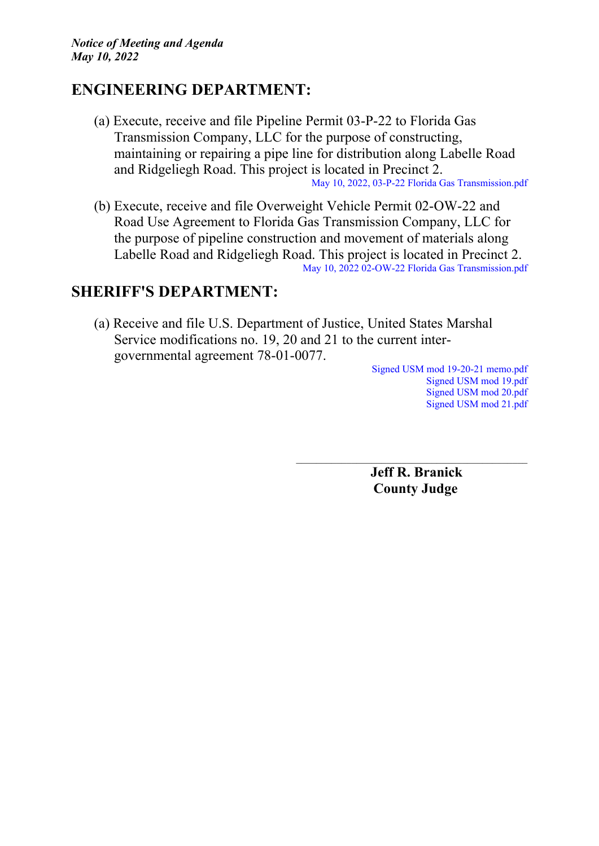#### **ENGINEERING DEPARTMENT:**

- (a) Execute, receive and file Pipeline Permit 03-P-22 to Florida Gas Transmission Company, LLC for the purpose of constructing, maintaining or repairing a pipe line for distribution along Labelle Road and Ridgeliegh Road. This project is located in Precinct 2. May 10, 2022, 03-P-22 Florida Gas [Transmission.pdf](http://co.jefferson.tx.us/agenda/agendas_pl/20220510_691/Attachments/May%2010%2C%202022%2C%2003-P-22%20Florida%20Gas%20Transmission.pdf)
- (b) Execute, receive and file Overweight Vehicle Permit 02-OW-22 and Road Use Agreement to Florida Gas Transmission Company, LLC for the purpose of pipeline construction and movement of materials along Labelle Road and Ridgeliegh Road. This project is located in Precinct 2. May 10, 2022 02-OW-22 Florida Gas [Transmission.pdf](http://co.jefferson.tx.us/agenda/agendas_pl/20220510_691/Attachments/May%2010%2C%202022%2002-OW-22%20Florida%20Gas%20Transmission.pdf)

### **SHERIFF'S DEPARTMENT:**

(a) Receive and file U.S. Department of Justice, United States Marshal Service modifications no. 19, 20 and 21 to the current intergovernmental agreement 78-01-0077.

Signed USM mod 19-20-21 [memo.pdf](http://co.jefferson.tx.us/agenda/agendas_pl/20220510_691/Attachments/Signed%20USM%20mod%2019-20-21%20memo.pdf) [Signed](http://co.jefferson.tx.us/agenda/agendas_pl/20220510_691/Attachments/Signed%20USM%20mod%2019.pdf) USM mod 19.pdf [Signed](http://co.jefferson.tx.us/agenda/agendas_pl/20220510_691/Attachments/Signed%20USM%20mod%2020.pdf) USM mod 20.pdf [Signed](http://co.jefferson.tx.us/agenda/agendas_pl/20220510_691/Attachments/Signed%20USM%20mod%2021.pdf) USM mod 21.pdf

**Jeff R. Branick County Judge**

\_\_\_\_\_\_\_\_\_\_\_\_\_\_\_\_\_\_\_\_\_\_\_\_\_\_\_\_\_\_\_\_\_\_\_\_\_\_\_\_\_\_\_\_\_\_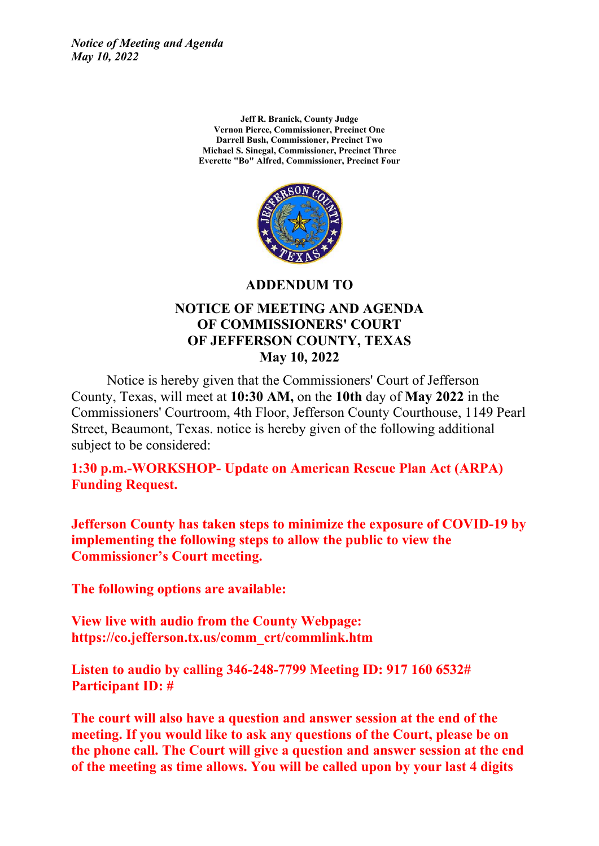*Notice of Meeting and Agenda May 10, 2022*

> **Jeff R. Branick, County Judge Vernon Pierce, Commissioner, Precinct One Darrell Bush, Commissioner, Precinct Two Michael S. Sinegal, Commissioner, Precinct Three Everette "Bo" Alfred, Commissioner, Precinct Four**



**ADDENDUM TO**

#### **NOTICE OF MEETING AND AGENDA OF COMMISSIONERS' COURT OF JEFFERSON COUNTY, TEXAS May 10, 2022**

Notice is hereby given that the Commissioners' Court of Jefferson County, Texas, will meet at **10:30 AM,** on the **10th** day of **May 2022** in the Commissioners' Courtroom, 4th Floor, Jefferson County Courthouse, 1149 Pearl Street, Beaumont, Texas. notice is hereby given of the following additional subject to be considered:

**1:30 p.m.-WORKSHOP- Update on American Rescue Plan Act (ARPA) Funding Request.**

**Jefferson County has taken steps to minimize the exposure of COVID-19 by implementing the following steps to allow the public to view the Commissioner's Court meeting.**

**The following options are available:**

**View live with audio from the County Webpage: https://co.jefferson.tx.us/comm\_crt/commlink.htm**

**Listen to audio by calling 346-248-7799 Meeting ID: 917 160 6532# Participant ID: #**

**The court will also have a question and answer session at the end of the meeting. If you would like to ask any questions of the Court, please be on the phone call. The Court will give a question and answer session at the end of the meeting as time allows. You will be called upon by your last 4 digits**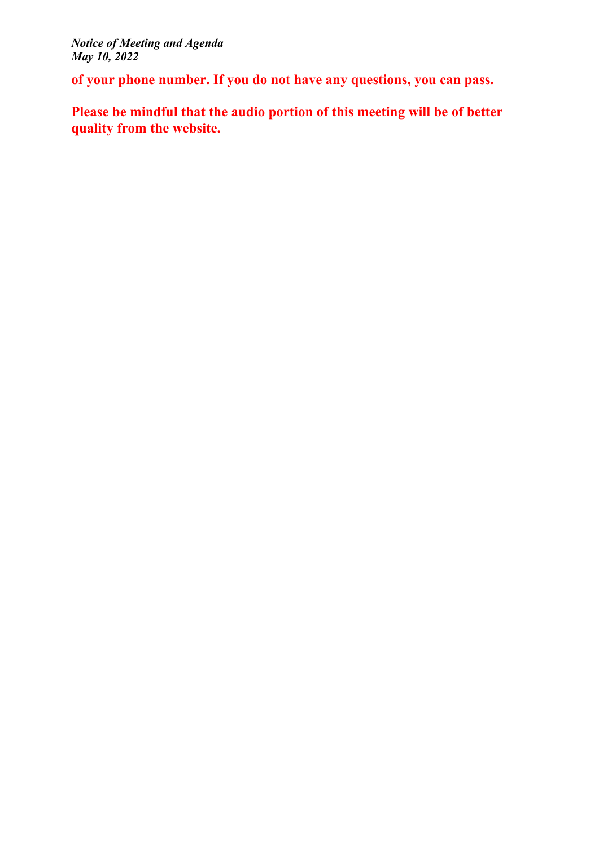**of your phone number. If you do not have any questions, you can pass.**

**Please be mindful that the audio portion of this meeting will be of better quality from the website.**